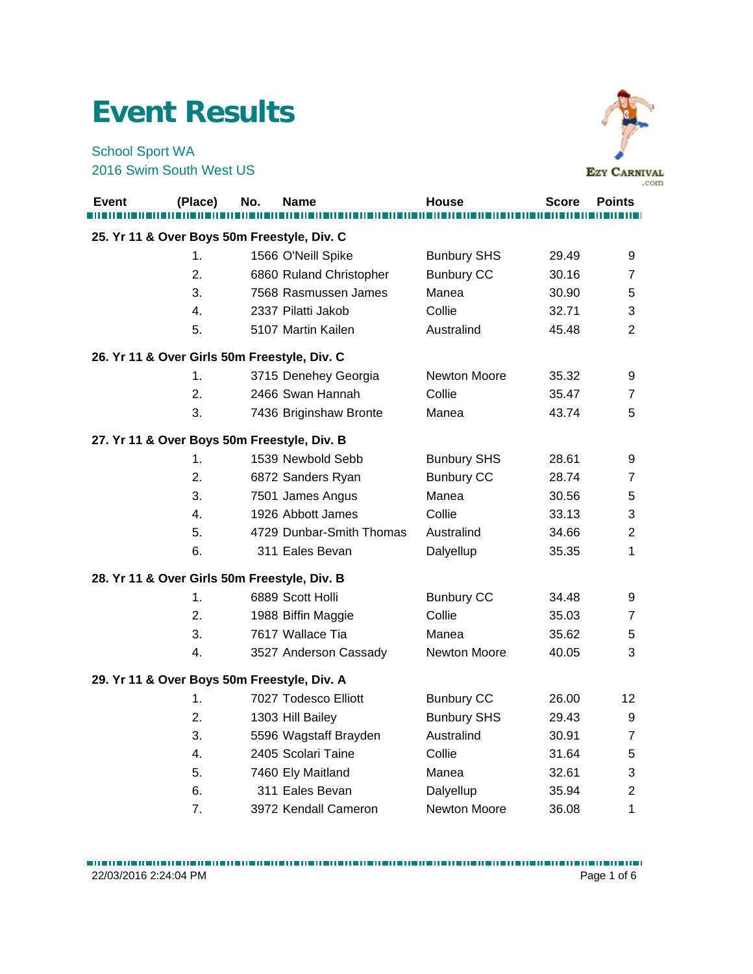## **Event Results**

School Sport WA 2016 Swim South West US



| <b>Event</b> | (Place)                                      | No. | Name                                        | House              | <b>Score</b> | <b>Points</b>  |
|--------------|----------------------------------------------|-----|---------------------------------------------|--------------------|--------------|----------------|
|              | 25. Yr 11 & Over Boys 50m Freestyle, Div. C  |     |                                             |                    |              |                |
|              | 1.                                           |     | 1566 O'Neill Spike                          | <b>Bunbury SHS</b> | 29.49        | 9              |
|              | 2.                                           |     | 6860 Ruland Christopher                     | <b>Bunbury CC</b>  | 30.16        | $\overline{7}$ |
|              | 3.                                           |     | 7568 Rasmussen James                        | Manea              | 30.90        | 5              |
|              | 4.                                           |     | 2337 Pilatti Jakob                          | Collie             | 32.71        | 3              |
|              | 5.                                           |     | 5107 Martin Kailen                          | Australind         | 45.48        | $\overline{2}$ |
|              | 26. Yr 11 & Over Girls 50m Freestyle, Div. C |     |                                             |                    |              |                |
|              | 1.                                           |     | 3715 Denehey Georgia                        | Newton Moore       | 35.32        | 9              |
|              | 2.                                           |     | 2466 Swan Hannah                            | Collie             | 35.47        | $\overline{7}$ |
|              | 3.                                           |     | 7436 Briginshaw Bronte                      | Manea              | 43.74        | 5              |
|              | 27. Yr 11 & Over Boys 50m Freestyle, Div. B  |     |                                             |                    |              |                |
|              | 1.                                           |     | 1539 Newbold Sebb                           | <b>Bunbury SHS</b> | 28.61        | 9              |
|              | 2.                                           |     | 6872 Sanders Ryan                           | <b>Bunbury CC</b>  | 28.74        | $\overline{7}$ |
|              | 3.                                           |     | 7501 James Angus                            | Manea              | 30.56        | 5              |
|              | 4.                                           |     | 1926 Abbott James                           | Collie             | 33.13        | 3              |
|              | 5.                                           |     | 4729 Dunbar-Smith Thomas                    | Australind         | 34.66        | $\overline{2}$ |
|              | 6.                                           |     | 311 Eales Bevan                             | Dalyellup          | 35.35        | 1              |
|              | 28. Yr 11 & Over Girls 50m Freestyle, Div. B |     |                                             |                    |              |                |
|              | 1.                                           |     | 6889 Scott Holli                            | <b>Bunbury CC</b>  | 34.48        | 9              |
|              | 2.                                           |     | 1988 Biffin Maggie                          | Collie             | 35.03        | 7              |
|              | 3.                                           |     | 7617 Wallace Tia                            | Manea              | 35.62        | 5              |
|              | 4.                                           |     | 3527 Anderson Cassady                       | Newton Moore       | 40.05        | 3              |
|              |                                              |     | 29. Yr 11 & Over Boys 50m Freestyle, Div. A |                    |              |                |
|              | 1.                                           |     | 7027 Todesco Elliott                        | <b>Bunbury CC</b>  | 26.00        | 12             |
|              | 2.                                           |     | 1303 Hill Bailey                            | <b>Bunbury SHS</b> | 29.43        | 9              |
|              | 3.                                           |     | 5596 Wagstaff Brayden                       | Australind         | 30.91        | 7              |
|              | 4.                                           |     | 2405 Scolari Taine                          | Collie             | 31.64        | 5              |
|              | 5.                                           |     | 7460 Ely Maitland                           | Manea              | 32.61        | 3              |
|              | 6.                                           |     | 311 Eales Bevan                             | Dalyellup          | 35.94        | $\overline{2}$ |
|              | 7.                                           |     | 3972 Kendall Cameron                        | Newton Moore       | 36.08        | 1              |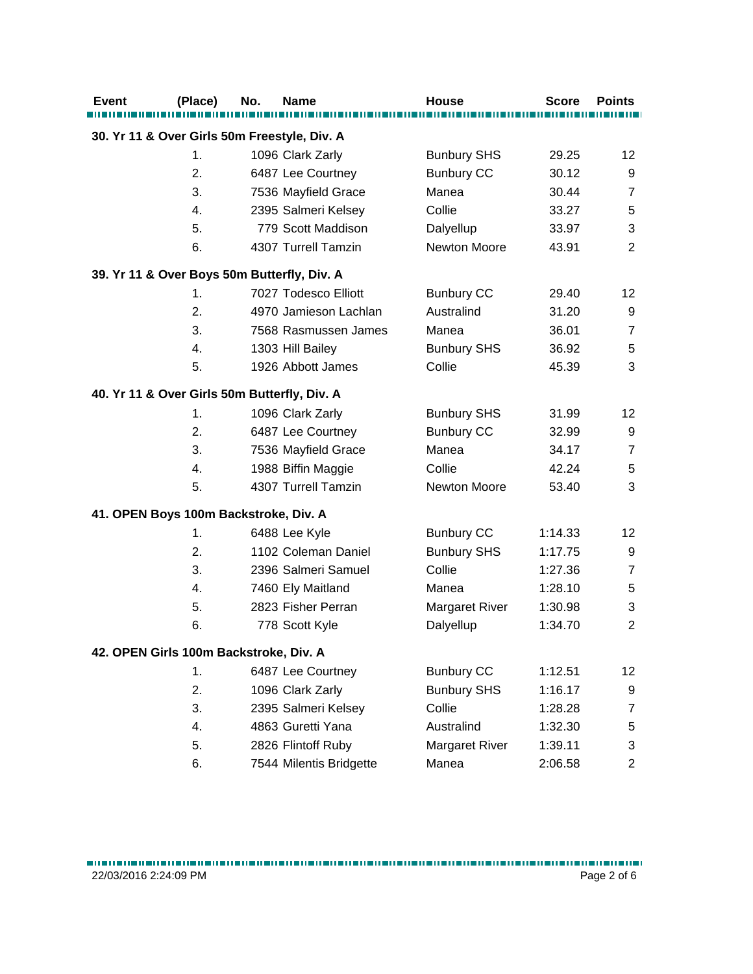| <b>Event</b> | (Place) | No.<br><b>Name</b>                           | <b>House</b>          | <b>Score</b> | <b>Points</b>             |
|--------------|---------|----------------------------------------------|-----------------------|--------------|---------------------------|
|              |         | 30. Yr 11 & Over Girls 50m Freestyle, Div. A |                       |              |                           |
|              | 1.      | 1096 Clark Zarly                             | <b>Bunbury SHS</b>    | 29.25        | 12                        |
|              | 2.      | 6487 Lee Courtney                            | <b>Bunbury CC</b>     | 30.12        | 9                         |
|              | 3.      | 7536 Mayfield Grace                          | Manea                 | 30.44        | $\overline{7}$            |
|              | 4.      | 2395 Salmeri Kelsey                          | Collie                | 33.27        | $\mathbf 5$               |
|              | 5.      | 779 Scott Maddison                           | Dalyellup             | 33.97        | $\ensuremath{\mathsf{3}}$ |
|              | 6.      | 4307 Turrell Tamzin                          | Newton Moore          | 43.91        | $\overline{2}$            |
|              |         | 39. Yr 11 & Over Boys 50m Butterfly, Div. A  |                       |              |                           |
|              | 1.      | 7027 Todesco Elliott                         | <b>Bunbury CC</b>     | 29.40        | 12                        |
|              | 2.      | 4970 Jamieson Lachlan                        | Australind            | 31.20        | 9                         |
|              | 3.      | 7568 Rasmussen James                         | Manea                 | 36.01        | $\overline{7}$            |
|              | 4.      | 1303 Hill Bailey                             | <b>Bunbury SHS</b>    | 36.92        | 5                         |
|              | 5.      | 1926 Abbott James                            | Collie                | 45.39        | 3                         |
|              |         | 40. Yr 11 & Over Girls 50m Butterfly, Div. A |                       |              |                           |
|              | 1.      | 1096 Clark Zarly                             | <b>Bunbury SHS</b>    | 31.99        | 12                        |
|              | 2.      | 6487 Lee Courtney                            | <b>Bunbury CC</b>     | 32.99        | 9                         |
|              | 3.      | 7536 Mayfield Grace                          | Manea                 | 34.17        | $\overline{7}$            |
|              | 4.      | 1988 Biffin Maggie                           | Collie                | 42.24        | $\mathbf 5$               |
|              | 5.      | 4307 Turrell Tamzin                          | Newton Moore          | 53.40        | 3                         |
|              |         | 41. OPEN Boys 100m Backstroke, Div. A        |                       |              |                           |
|              | 1.      | 6488 Lee Kyle                                | <b>Bunbury CC</b>     | 1:14.33      | 12                        |
|              | 2.      | 1102 Coleman Daniel                          | <b>Bunbury SHS</b>    | 1:17.75      | 9                         |
|              | 3.      | 2396 Salmeri Samuel                          | Collie                | 1:27.36      | $\overline{7}$            |
|              | 4.      | 7460 Ely Maitland                            | Manea                 | 1:28.10      | $\mathbf 5$               |
|              | 5.      | 2823 Fisher Perran                           | <b>Margaret River</b> | 1:30.98      | 3                         |
|              | 6.      | 778 Scott Kyle                               | Dalyellup             | 1:34.70      | $\overline{2}$            |
|              |         | 42. OPEN Girls 100m Backstroke, Div. A       |                       |              |                           |
|              | 1.      | 6487 Lee Courtney                            | <b>Bunbury CC</b>     | 1:12.51      | 12                        |
|              | 2.      | 1096 Clark Zarly                             | <b>Bunbury SHS</b>    | 1:16.17      | 9                         |
|              | 3.      | 2395 Salmeri Kelsey                          | Collie                | 1:28.28      | $\overline{7}$            |
|              | 4.      | 4863 Guretti Yana                            | Australind            | 1:32.30      | 5                         |
|              | 5.      | 2826 Flintoff Ruby                           | Margaret River        | 1:39.11      | 3                         |
|              | 6.      | 7544 Milentis Bridgette                      | Manea                 | 2:06.58      | $\overline{c}$            |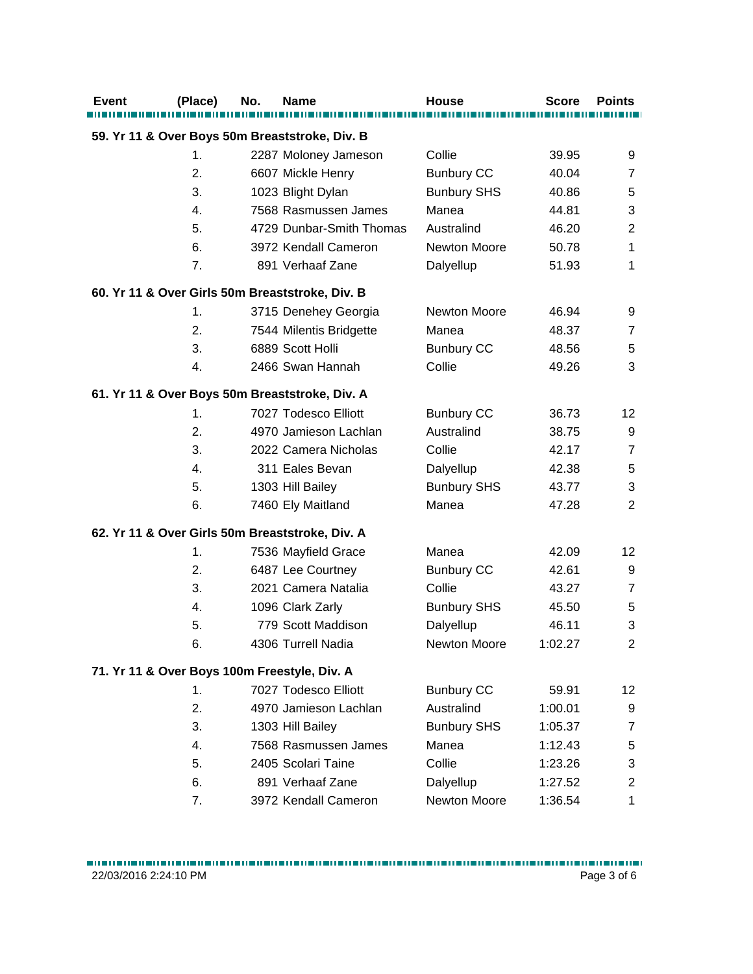| <b>Event</b> | (Place)        | No. | Name                                            | <b>House</b>        | <b>Score</b> | <b>Points</b>  |
|--------------|----------------|-----|-------------------------------------------------|---------------------|--------------|----------------|
|              |                |     | 59. Yr 11 & Over Boys 50m Breaststroke, Div. B  |                     |              |                |
|              | 1 <sub>1</sub> |     | 2287 Moloney Jameson                            | Collie              | 39.95        | 9              |
|              | 2.             |     | 6607 Mickle Henry                               | <b>Bunbury CC</b>   | 40.04        | $\overline{7}$ |
|              | 3.             |     | 1023 Blight Dylan                               | <b>Bunbury SHS</b>  | 40.86        | 5              |
|              | 4.             |     | 7568 Rasmussen James                            | Manea               | 44.81        | 3              |
|              | 5.             |     | 4729 Dunbar-Smith Thomas                        | Australind          | 46.20        | $\overline{2}$ |
|              | 6.             |     | 3972 Kendall Cameron                            | <b>Newton Moore</b> | 50.78        | 1              |
|              | 7.             |     | 891 Verhaaf Zane                                | Dalyellup           | 51.93        | 1              |
|              |                |     | 60. Yr 11 & Over Girls 50m Breaststroke, Div. B |                     |              |                |
|              | 1.             |     | 3715 Denehey Georgia                            | Newton Moore        | 46.94        | 9              |
|              | 2.             |     | 7544 Milentis Bridgette                         | Manea               | 48.37        | 7              |
|              | 3.             |     | 6889 Scott Holli                                | <b>Bunbury CC</b>   | 48.56        | 5              |
|              | 4.             |     | 2466 Swan Hannah                                | Collie              | 49.26        | 3              |
|              |                |     | 61. Yr 11 & Over Boys 50m Breaststroke, Div. A  |                     |              |                |
|              | $\mathbf{1}$ . |     | 7027 Todesco Elliott                            | <b>Bunbury CC</b>   | 36.73        | 12             |
|              | 2.             |     | 4970 Jamieson Lachlan                           | Australind          | 38.75        | 9              |
|              | 3.             |     | 2022 Camera Nicholas                            | Collie              | 42.17        | $\overline{7}$ |
|              | 4.             |     | 311 Eales Bevan                                 | Dalyellup           | 42.38        | 5              |
|              | 5.             |     | 1303 Hill Bailey                                | <b>Bunbury SHS</b>  | 43.77        | 3              |
|              | 6.             |     | 7460 Ely Maitland                               | Manea               | 47.28        | $\overline{2}$ |
|              |                |     | 62. Yr 11 & Over Girls 50m Breaststroke, Div. A |                     |              |                |
|              | 1.             |     | 7536 Mayfield Grace                             | Manea               | 42.09        | 12             |
|              | 2.             |     | 6487 Lee Courtney                               | <b>Bunbury CC</b>   | 42.61        | 9              |
|              | 3.             |     | 2021 Camera Natalia                             | Collie              | 43.27        | $\overline{7}$ |
|              | 4.             |     | 1096 Clark Zarly                                | <b>Bunbury SHS</b>  | 45.50        | 5              |
|              | 5.             |     | 779 Scott Maddison                              | Dalyellup           | 46.11        | 3              |
|              | 6.             |     | 4306 Turrell Nadia                              | Newton Moore        | 1:02.27      | $\overline{2}$ |
|              |                |     | 71. Yr 11 & Over Boys 100m Freestyle, Div. A    |                     |              |                |
|              | 1 <sub>1</sub> |     | 7027 Todesco Elliott                            | <b>Bunbury CC</b>   | 59.91        | 12             |
|              | 2.             |     | 4970 Jamieson Lachlan                           | Australind          | 1:00.01      | 9              |
|              | 3.             |     | 1303 Hill Bailey                                | <b>Bunbury SHS</b>  | 1:05.37      | $\overline{7}$ |
|              | 4.             |     | 7568 Rasmussen James                            | Manea               | 1:12.43      | 5              |
|              | 5.             |     | 2405 Scolari Taine                              | Collie              | 1:23.26      | 3              |
|              | 6.             |     | 891 Verhaaf Zane                                | Dalyellup           | 1:27.52      | $\overline{2}$ |
|              | 7.             |     | 3972 Kendall Cameron                            | Newton Moore        | 1:36.54      | 1              |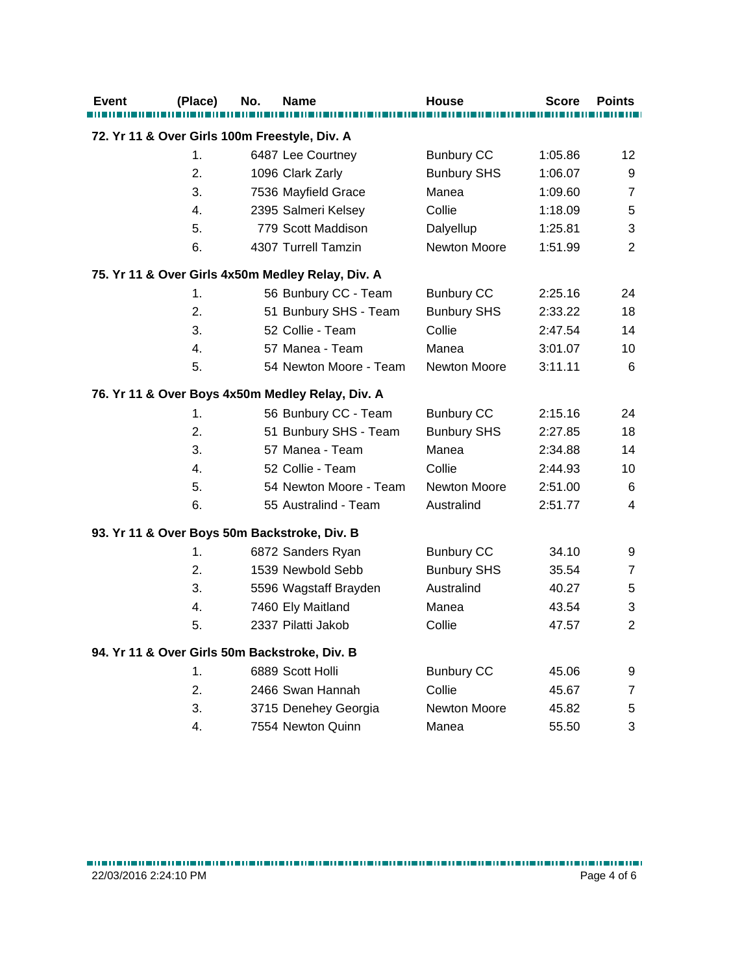| <b>Event</b> | (Place)                                       | No. | <b>Name</b>                                       | <b>House</b>        | <b>Score</b> | <b>Points</b>  |
|--------------|-----------------------------------------------|-----|---------------------------------------------------|---------------------|--------------|----------------|
|              | 72. Yr 11 & Over Girls 100m Freestyle, Div. A |     |                                                   |                     |              |                |
|              | 1.                                            |     | 6487 Lee Courtney                                 | <b>Bunbury CC</b>   | 1:05.86      | 12             |
|              | 2.                                            |     | 1096 Clark Zarly                                  | <b>Bunbury SHS</b>  | 1:06.07      | 9              |
|              | 3.                                            |     | 7536 Mayfield Grace                               | Manea               | 1:09.60      | $\overline{7}$ |
|              | 4.                                            |     | 2395 Salmeri Kelsey                               | Collie              | 1:18.09      | 5              |
|              | 5.                                            |     | 779 Scott Maddison                                | Dalyellup           | 1:25.81      | 3              |
|              | 6.                                            |     | 4307 Turrell Tamzin                               | Newton Moore        | 1:51.99      | $\overline{2}$ |
|              |                                               |     | 75. Yr 11 & Over Girls 4x50m Medley Relay, Div. A |                     |              |                |
|              | 1.                                            |     | 56 Bunbury CC - Team                              | <b>Bunbury CC</b>   | 2:25.16      | 24             |
|              | 2.                                            |     | 51 Bunbury SHS - Team                             | <b>Bunbury SHS</b>  | 2:33.22      | 18             |
|              | 3.                                            |     | 52 Collie - Team                                  | Collie              | 2:47.54      | 14             |
|              | 4.                                            |     | 57 Manea - Team                                   | Manea               | 3:01.07      | 10             |
|              | 5.                                            |     | 54 Newton Moore - Team                            | Newton Moore        | 3:11.11      | 6              |
|              |                                               |     | 76. Yr 11 & Over Boys 4x50m Medley Relay, Div. A  |                     |              |                |
|              | 1.                                            |     | 56 Bunbury CC - Team                              | <b>Bunbury CC</b>   | 2:15.16      | 24             |
|              | 2.                                            |     | 51 Bunbury SHS - Team                             | <b>Bunbury SHS</b>  | 2:27.85      | 18             |
|              | 3.                                            |     | 57 Manea - Team                                   | Manea               | 2:34.88      | 14             |
|              | 4.                                            |     | 52 Collie - Team                                  | Collie              | 2:44.93      | 10             |
|              | 5.                                            |     | 54 Newton Moore - Team                            | Newton Moore        | 2:51.00      | 6              |
|              | 6.                                            |     | 55 Australind - Team                              | Australind          | 2:51.77      | 4              |
|              |                                               |     | 93. Yr 11 & Over Boys 50m Backstroke, Div. B      |                     |              |                |
|              | 1.                                            |     | 6872 Sanders Ryan                                 | <b>Bunbury CC</b>   | 34.10        | 9              |
|              | 2.                                            |     | 1539 Newbold Sebb                                 | <b>Bunbury SHS</b>  | 35.54        | $\overline{7}$ |
|              | 3.                                            |     | 5596 Wagstaff Brayden                             | Australind          | 40.27        | 5              |
|              | 4.                                            |     | 7460 Ely Maitland                                 | Manea               | 43.54        | 3              |
|              | 5.                                            |     | 2337 Pilatti Jakob                                | Collie              | 47.57        | $\overline{2}$ |
|              |                                               |     | 94. Yr 11 & Over Girls 50m Backstroke, Div. B     |                     |              |                |
|              | 1.                                            |     | 6889 Scott Holli                                  | <b>Bunbury CC</b>   | 45.06        | 9              |
|              | 2.                                            |     | 2466 Swan Hannah                                  | Collie              | 45.67        | 7              |
|              | 3.                                            |     | 3715 Denehey Georgia                              | <b>Newton Moore</b> | 45.82        | 5              |
|              | 4.                                            |     | 7554 Newton Quinn                                 | Manea               | 55.50        | 3              |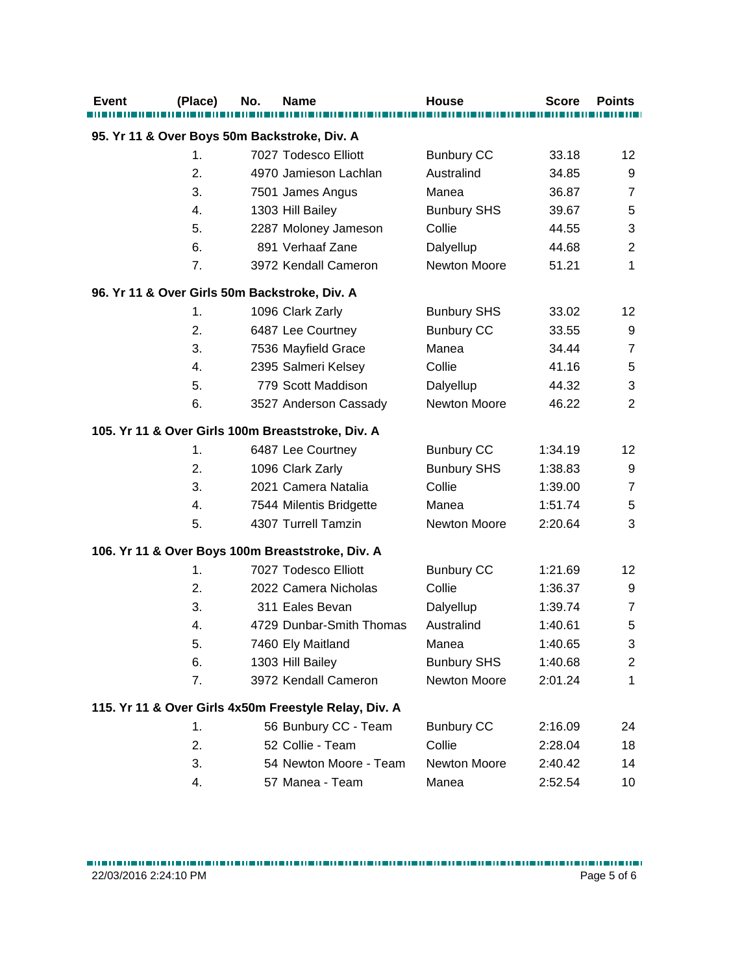| <b>Event</b> | (Place)       | No. | Name                                                  | <b>House</b>       | <b>Score</b> | <b>Points</b>  |
|--------------|---------------|-----|-------------------------------------------------------|--------------------|--------------|----------------|
|              |               |     | 95. Yr 11 & Over Boys 50m Backstroke, Div. A          |                    |              |                |
|              | $\mathbf 1$ . |     | 7027 Todesco Elliott                                  | <b>Bunbury CC</b>  | 33.18        | 12             |
|              | 2.            |     | 4970 Jamieson Lachlan                                 | Australind         | 34.85        | 9              |
|              | 3.            |     | 7501 James Angus                                      | Manea              | 36.87        | $\overline{7}$ |
|              | 4.            |     | 1303 Hill Bailey                                      | <b>Bunbury SHS</b> | 39.67        | 5              |
|              | 5.            |     | 2287 Moloney Jameson                                  | Collie             | 44.55        | 3              |
|              | 6.            |     | 891 Verhaaf Zane                                      | Dalyellup          | 44.68        | $\overline{2}$ |
|              | 7.            |     | 3972 Kendall Cameron                                  | Newton Moore       | 51.21        | 1              |
|              |               |     | 96. Yr 11 & Over Girls 50m Backstroke, Div. A         |                    |              |                |
|              | 1.            |     | 1096 Clark Zarly                                      | <b>Bunbury SHS</b> | 33.02        | 12             |
|              | 2.            |     | 6487 Lee Courtney                                     | <b>Bunbury CC</b>  | 33.55        | 9              |
|              | 3.            |     | 7536 Mayfield Grace                                   | Manea              | 34.44        | $\overline{7}$ |
|              | 4.            |     | 2395 Salmeri Kelsey                                   | Collie             | 41.16        | $\,$ 5 $\,$    |
|              | 5.            |     | 779 Scott Maddison                                    | Dalyellup          | 44.32        | 3              |
|              | 6.            |     | 3527 Anderson Cassady                                 | Newton Moore       | 46.22        | 2              |
|              |               |     | 105. Yr 11 & Over Girls 100m Breaststroke, Div. A     |                    |              |                |
|              | $\mathbf 1$ . |     | 6487 Lee Courtney                                     | <b>Bunbury CC</b>  | 1:34.19      | 12             |
|              | 2.            |     | 1096 Clark Zarly                                      | <b>Bunbury SHS</b> | 1:38.83      | 9              |
|              | 3.            |     | 2021 Camera Natalia                                   | Collie             | 1:39.00      | $\overline{7}$ |
|              | 4.            |     | 7544 Milentis Bridgette                               | Manea              | 1:51.74      | 5              |
|              | 5.            |     | 4307 Turrell Tamzin                                   | Newton Moore       | 2:20.64      | 3              |
|              |               |     | 106. Yr 11 & Over Boys 100m Breaststroke, Div. A      |                    |              |                |
|              | 1.            |     | 7027 Todesco Elliott                                  | <b>Bunbury CC</b>  | 1:21.69      | 12             |
|              | 2.            |     | 2022 Camera Nicholas                                  | Collie             | 1:36.37      | 9              |
|              | 3.            |     | 311 Eales Bevan                                       | Dalyellup          | 1:39.74      | $\overline{7}$ |
|              | 4.            |     | 4729 Dunbar-Smith Thomas                              | Australind         | 1:40.61      | 5              |
|              | 5.            |     | 7460 Ely Maitland                                     | Manea              | 1:40.65      | 3              |
|              | 6.            |     | 1303 Hill Bailey                                      | <b>Bunbury SHS</b> | 1:40.68      | $\overline{c}$ |
|              | 7.            |     | 3972 Kendall Cameron                                  | Newton Moore       | 2:01.24      | $\mathbf{1}$   |
|              |               |     | 115. Yr 11 & Over Girls 4x50m Freestyle Relay, Div. A |                    |              |                |
|              | 1.            |     | 56 Bunbury CC - Team                                  | <b>Bunbury CC</b>  | 2:16.09      | 24             |
|              | 2.            |     | 52 Collie - Team                                      | Collie             | 2:28.04      | 18             |
|              | 3.            |     | 54 Newton Moore - Team                                | Newton Moore       | 2:40.42      | 14             |
|              | 4.            |     | 57 Manea - Team                                       | Manea              | 2:52.54      | 10             |